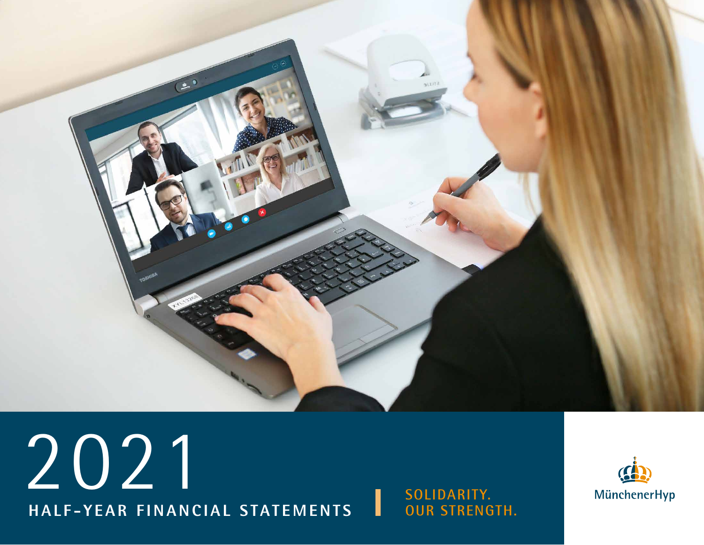

# 2021 **HALF-YEAR FINANCIAL STATEMENTS** ı

**SOLIDARITY. OUR STRENGTH.**

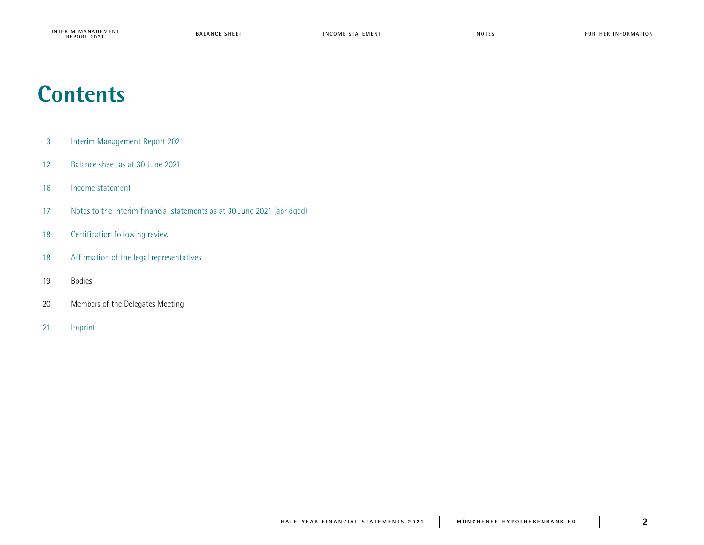## **Contents**

- Interim Management Report 2021
- Balance sheet as at 30 June 2021
- Income statement
- 17 Notes to the interim financial statements as at 30 June 2021 (abridged)
- Certification following review
- Affirmation of the legal representatives
- Bodies
- Members of the Delegates Meeting
- Imprint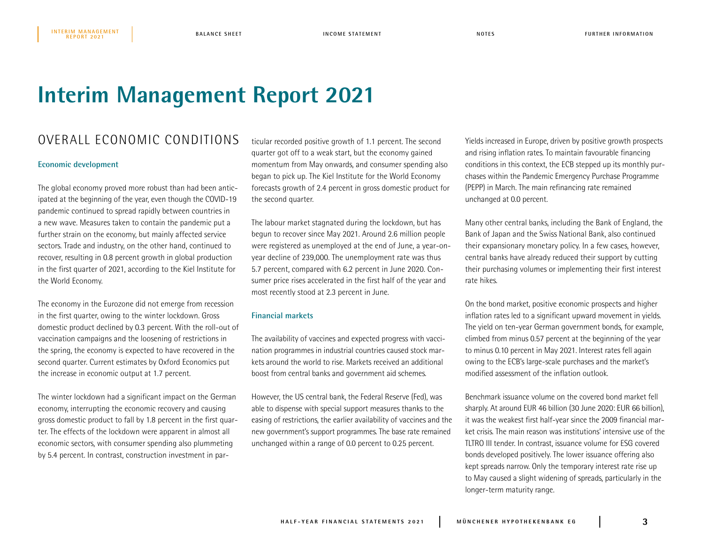## **Interim Management Report 2021**

## OVERALL ECONOMIC CONDITIONS

### **Economic development**

The global economy proved more robust than had been anticipated at the beginning of the year, even though the COVID-19 pandemic continued to spread rapidly between countries in a new wave. Measures taken to contain the pandemic put a further strain on the economy, but mainly affected service sectors. Trade and industry, on the other hand, continued to recover, resulting in 0.8 percent growth in global production in the first quarter of 2021, according to the Kiel Institute for the World Economy.

The economy in the Eurozone did not emerge from recession in the first quarter, owing to the winter lockdown. Gross domestic product declined by 0.3 percent. With the roll-out of vaccination campaigns and the loosening of restrictions in the spring, the economy is expected to have recovered in the second quarter. Current estimates by Oxford Economics put the increase in economic output at 1.7 percent.

The winter lockdown had a significant impact on the German economy, interrupting the economic recovery and causing gross domestic product to fall by 1.8 percent in the first quarter. The effects of the lockdown were apparent in almost all economic sectors, with consumer spending also plummeting by 5.4 percent. In contrast, construction investment in particular recorded positive growth of 1.1 percent. The second quarter got off to a weak start, but the economy gained momentum from May onwards, and consumer spending also began to pick up. The Kiel Institute for the World Economy forecasts growth of 2.4 percent in gross domestic product for the second quarter.

The labour market stagnated during the lockdown, but has begun to recover since May 2021. Around 2.6 million people were registered as unemployed at the end of June, a year-onyear decline of 239,000. The unemployment rate was thus 5.7 percent, compared with 6.2 percent in June 2020. Consumer price rises accelerated in the first half of the year and most recently stood at 2.3 percent in June.

## **Financial markets**

The availability of vaccines and expected progress with vaccination programmes in industrial countries caused stock markets around the world to rise. Markets received an additional boost from central banks and government aid schemes.

However, the US central bank, the Federal Reserve (Fed), was able to dispense with special support measures thanks to the easing of restrictions, the earlier availability of vaccines and the new government's support programmes. The base rate remained unchanged within a range of 0.0 percent to 0.25 percent.

Yields increased in Europe, driven by positive growth prospects and rising inflation rates. To maintain favourable financing conditions in this context, the ECB stepped up its monthly purchases within the Pandemic Emergency Purchase Programme (PEPP) in March. The main refinancing rate remained unchanged at 0.0 percent.

Many other central banks, including the Bank of England, the Bank of Japan and the Swiss National Bank, also continued their expansionary monetary policy. In a few cases, however, central banks have already reduced their support by cutting their purchasing volumes or implementing their first interest rate hikes.

On the bond market, positive economic prospects and higher inflation rates led to a significant upward movement in yields. The yield on ten-year German government bonds, for example, climbed from minus 0.57 percent at the beginning of the year to minus 0.10 percent in May 2021. Interest rates fell again owing to the ECB's large-scale purchases and the market's modified assessment of the inflation outlook.

Benchmark issuance volume on the covered bond market fell sharply. At around EUR 46 billion (30 June 2020: EUR 66 billion), it was the weakest first half-year since the 2009 financial market crisis. The main reason was institutions' intensive use of the TLTRO III tender. In contrast, issuance volume for ESG covered bonds developed positively. The lower issuance offering also kept spreads narrow. Only the temporary interest rate rise up to May caused a slight widening of spreads, particularly in the longer-term maturity range.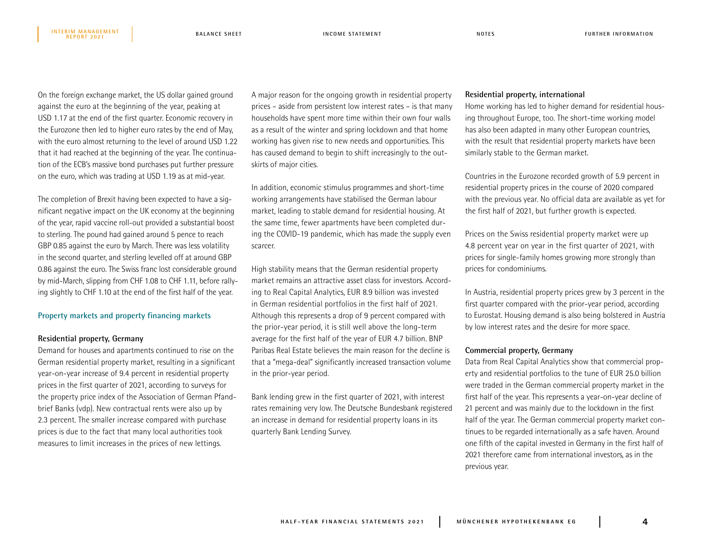On the foreign exchange market, the US dollar gained ground against the euro at the beginning of the year, peaking at USD 1.17 at the end of the first quarter. Economic recovery in the Eurozone then led to higher euro rates by the end of May, with the euro almost returning to the level of around USD 1.22 that it had reached at the beginning of the year. The continuation of the ECB's massive bond purchases put further pressure on the euro, which was trading at USD 1.19 as at mid-year.

The completion of Brexit having been expected to have a significant negative impact on the UK economy at the beginning of the year, rapid vaccine roll-out provided a substantial boost to sterling. The pound had gained around 5 pence to reach GBP 0.85 against the euro by March. There was less volatility in the second quarter, and sterling levelled off at around GBP 0.86 against the euro. The Swiss franc lost considerable ground by mid-March, slipping from CHF 1.08 to CHF 1.11, before rallying slightly to CHF 1.10 at the end of the first half of the year.

#### **Property markets and property financing markets**

#### **Residential property, Germany**

**REPORT 2021**

Demand for houses and apartments continued to rise on the German residential property market, resulting in a significant year-on-year increase of 9.4 percent in residential property prices in the first quarter of 2021, according to surveys for the property price index of the Association of German Pfandbrief Banks (vdp). New contractual rents were also up by 2.3 percent. The smaller increase compared with purchase prices is due to the fact that many local authorities took measures to limit increases in the prices of new lettings.

A major reason for the ongoing growth in residential property prices – aside from persistent low interest rates – is that many households have spent more time within their own four walls as a result of the winter and spring lockdown and that home working has given rise to new needs and opportunities. This has caused demand to begin to shift increasingly to the outskirts of major cities.

In addition, economic stimulus programmes and short-time working arrangements have stabilised the German labour market, leading to stable demand for residential housing. At the same time, fewer apartments have been completed during the COVID-19 pandemic, which has made the supply even scarcer.

High stability means that the German residential property market remains an attractive asset class for investors. According to Real Capital Analytics, EUR 8.9 billion was invested in German residential portfolios in the first half of 2021. Although this represents a drop of 9 percent compared with the prior-year period, it is still well above the long-term average for the first half of the year of EUR 4.7 billion. BNP Paribas Real Estate believes the main reason for the decline is that a "mega-deal" significantly increased transaction volume in the prior-year period.

Bank lending grew in the first quarter of 2021, with interest rates remaining very low. The Deutsche Bundesbank registered an increase in demand for residential property loans in its quarterly Bank Lending Survey.

### **Residential property, international**

Home working has led to higher demand for residential housing throughout Europe, too. The short-time working model has also been adapted in many other European countries, with the result that residential property markets have been similarly stable to the German market.

Countries in the Eurozone recorded growth of 5.9 percent in residential property prices in the course of 2020 compared with the previous year. No official data are available as yet for the first half of 2021, but further growth is expected.

Prices on the Swiss residential property market were up 4.8 percent year on year in the first quarter of 2021, with prices for single-family homes growing more strongly than prices for condominiums.

In Austria, residential property prices grew by 3 percent in the first quarter compared with the prior-year period, according to Eurostat. Housing demand is also being bolstered in Austria by low interest rates and the desire for more space.

### **Commercial property, Germany**

Data from Real Capital Analytics show that commercial property and residential portfolios to the tune of EUR 25.0 billion were traded in the German commercial property market in the first half of the year. This represents a year-on-year decline of 21 percent and was mainly due to the lockdown in the first half of the year. The German commercial property market continues to be regarded internationally as a safe haven. Around one fifth of the capital invested in Germany in the first half of 2021 therefore came from international investors, as in the previous year.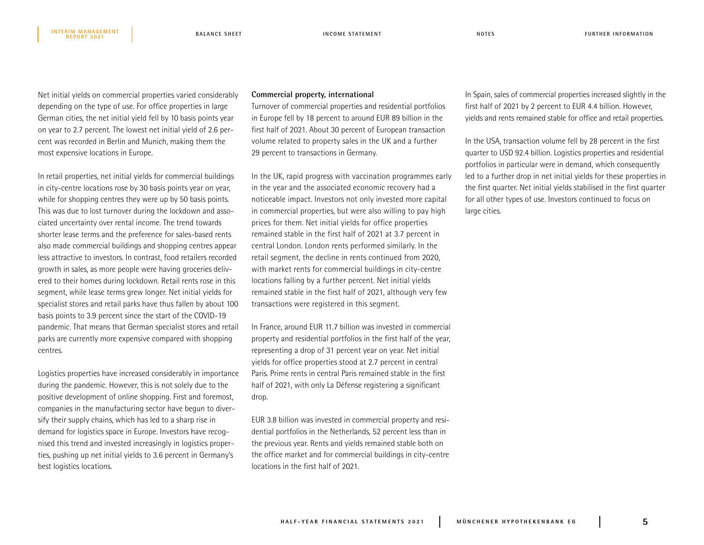Net initial yields on commercial properties varied considerably depending on the type of use. For office properties in large German cities, the net initial yield fell by 10 basis points year on year to 2.7 percent. The lowest net initial yield of 2.6 percent was recorded in Berlin and Munich, making them the most expensive locations in Europe.

In retail properties, net initial yields for commercial buildings in city-centre locations rose by 30 basis points year on year, while for shopping centres they were up by 50 basis points. This was due to lost turnover during the lockdown and associated uncertainty over rental income. The trend towards shorter lease terms and the preference for sales-based rents also made commercial buildings and shopping centres appear less attractive to investors. In contrast, food retailers recorded growth in sales, as more people were having groceries delivered to their homes during lockdown. Retail rents rose in this segment, while lease terms grew longer. Net initial yields for specialist stores and retail parks have thus fallen by about 100 basis points to 3.9 percent since the start of the COVID-19 pandemic. That means that German specialist stores and retail parks are currently more expensive compared with shopping centres.

Logistics properties have increased considerably in importance during the pandemic. However, this is not solely due to the positive development of online shopping. First and foremost, companies in the manufacturing sector have begun to diversify their supply chains, which has led to a sharp rise in demand for logistics space in Europe. Investors have recognised this trend and invested increasingly in logistics properties, pushing up net initial yields to 3.6 percent in Germany's best logistics locations.

## **Commercial property, international**

Turnover of commercial properties and residential portfolios in Europe fell by 18 percent to around EUR 89 billion in the first half of 2021. About 30 percent of European transaction volume related to property sales in the UK and a further 29 percent to transactions in Germany.

In the UK, rapid progress with vaccination programmes early in the year and the associated economic recovery had a noticeable impact. Investors not only invested more capital in commercial properties, but were also willing to pay high prices for them. Net initial yields for office properties remained stable in the first half of 2021 at 3.7 percent in central London. London rents performed similarly. In the retail segment, the decline in rents continued from 2020, with market rents for commercial buildings in city-centre locations falling by a further percent. Net initial yields remained stable in the first half of 2021, although very few transactions were registered in this segment.

In France, around EUR 11.7 billion was invested in commercial property and residential portfolios in the first half of the year, representing a drop of 31 percent year on year. Net initial yields for office properties stood at 2.7 percent in central Paris. Prime rents in central Paris remained stable in the first half of 2021, with only La Défense registering a significant drop.

EUR 3.8 billion was invested in commercial property and residential portfolios in the Netherlands, 52 percent less than in the previous year. Rents and yields remained stable both on the office market and for commercial buildings in city-centre locations in the first half of 2021.

In Spain, sales of commercial properties increased slightly in the first half of 2021 by 2 percent to EUR 4.4 billion. However, yields and rents remained stable for office and retail properties.

In the USA, transaction volume fell by 28 percent in the first quarter to USD 92.4 billion. Logistics properties and residential portfolios in particular were in demand, which consequently led to a further drop in net initial yields for these properties in the first quarter. Net initial yields stabilised in the first quarter for all other types of use. Investors continued to focus on large cities.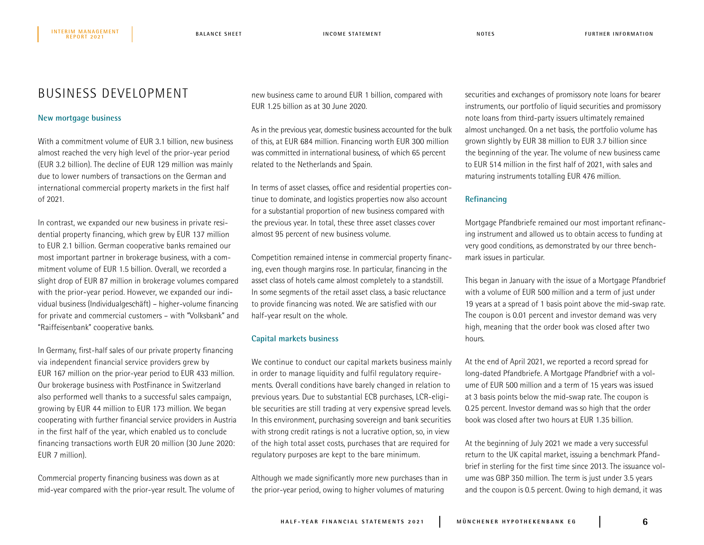## BUSINESS DEVELOPMENT

## **New mortgage business**

With a commitment volume of EUR 3.1 billion, new business almost reached the very high level of the prior-year period (EUR 3.2 billion). The decline of EUR 129 million was mainly due to lower numbers of transactions on the German and international commercial property markets in the first half of 2021.

In contrast, we expanded our new business in private residential property financing, which grew by EUR 137 million to EUR 2.1 billion. German cooperative banks remained our most important partner in brokerage business, with a commitment volume of EUR 1.5 billion. Overall, we recorded a slight drop of EUR 87 million in brokerage volumes compared with the prior-year period. However, we expanded our individual business (Individualgeschäft) – higher-volume financing for private and commercial customers – with "Volksbank" and "Raiffeisenbank" cooperative banks.

In Germany, first-half sales of our private property financing via independent financial service providers grew by EUR 167 million on the prior-year period to EUR 433 million. Our brokerage business with PostFinance in Switzerland also performed well thanks to a successful sales campaign, growing by EUR 44 million to EUR 173 million. We began cooperating with further financial service providers in Austria in the first half of the year, which enabled us to conclude financing transactions worth EUR 20 million (30 June 2020: EUR 7 million).

Commercial property financing business was down as at mid-year compared with the prior-year result. The volume of new business came to around EUR 1 billion, compared with EUR 1.25 billion as at 30 June 2020.

As in the previous year, domestic business accounted for the bulk of this, at EUR 684 million. Financing worth EUR 300 million was committed in international business, of which 65 percent related to the Netherlands and Spain.

In terms of asset classes, office and residential properties continue to dominate, and logistics properties now also account for a substantial proportion of new business compared with the previous year. In total, these three asset classes cover almost 95 percent of new business volume.

Competition remained intense in commercial property financing, even though margins rose. In particular, financing in the asset class of hotels came almost completely to a standstill. In some segments of the retail asset class, a basic reluctance to provide financing was noted. We are satisfied with our half-year result on the whole.

## **Capital markets business**

We continue to conduct our capital markets business mainly in order to manage liquidity and fulfil regulatory requirements. Overall conditions have barely changed in relation to previous years. Due to substantial ECB purchases, LCR-eligible securities are still trading at very expensive spread levels. In this environment, purchasing sovereign and bank securities with strong credit ratings is not a lucrative option, so, in view of the high total asset costs, purchases that are required for regulatory purposes are kept to the bare minimum.

Although we made significantly more new purchases than in the prior-year period, owing to higher volumes of maturing

securities and exchanges of promissory note loans for bearer instruments, our portfolio of liquid securities and promissory note loans from third-party issuers ultimately remained almost unchanged. On a net basis, the portfolio volume has grown slightly by EUR 38 million to EUR 3.7 billion since the beginning of the year. The volume of new business came to EUR 514 million in the first half of 2021, with sales and maturing instruments totalling EUR 476 million.

## **Refinancing**

Mortgage Pfandbriefe remained our most important refinancing instrument and allowed us to obtain access to funding at very good conditions, as demonstrated by our three benchmark issues in particular.

This began in January with the issue of a Mortgage Pfandbrief with a volume of EUR 500 million and a term of just under 19 years at a spread of 1 basis point above the mid-swap rate. The coupon is 0.01 percent and investor demand was very high, meaning that the order book was closed after two hours.

At the end of April 2021, we reported a record spread for long-dated Pfandbriefe. A Mortgage Pfandbrief with a volume of EUR 500 million and a term of 15 years was issued at 3 basis points below the mid-swap rate. The coupon is 0.25 percent. Investor demand was so high that the order book was closed after two hours at EUR 1.35 billion.

At the beginning of July 2021 we made a very successful return to the UK capital market, issuing a benchmark Pfandbrief in sterling for the first time since 2013. The issuance volume was GBP 350 million. The term is just under 3.5 years and the coupon is 0.5 percent. Owing to high demand, it was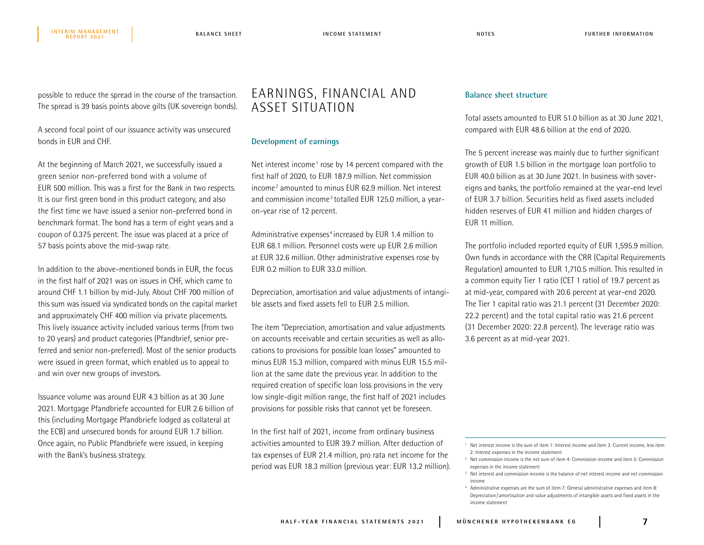possible to reduce the spread in the course of the transaction. The spread is 39 basis points above gilts (UK sovereign bonds).

A second focal point of our issuance activity was unsecured bonds in EUR and CHF.

At the beginning of March 2021, we successfully issued a green senior non-preferred bond with a volume of EUR 500 million. This was a first for the Bank in two respects. It is our first green bond in this product category, and also the first time we have issued a senior non-preferred bond in benchmark format. The bond has a term of eight years and a coupon of 0.375 percent. The issue was placed at a price of 57 basis points above the mid-swap rate.

In addition to the above-mentioned bonds in EUR, the focus in the first half of 2021 was on issues in CHF, which came to around CHF 1.1 billion by mid-July. About CHF 700 million of this sum was issued via syndicated bonds on the capital market and approximately CHF 400 million via private placements. This lively issuance activity included various terms (from two to 20 years) and product categories (Pfandbrief, senior preferred and senior non-preferred). Most of the senior products were issued in green format, which enabled us to appeal to and win over new groups of investors.

Issuance volume was around EUR 4.3 billion as at 30 June 2021. Mortgage Pfandbriefe accounted for EUR 2.6 billion of this (including Mortgage Pfandbriefe lodged as collateral at the ECB) and unsecured bonds for around EUR 1.7 billion. Once again, no Public Pfandbriefe were issued, in keeping with the Bank's business strategy.

## EARNINGS, FINANCIAL AND ASSET SITUATION

## **Development of earnings**

Net interest income<sup>1</sup> rose by 14 percent compared with the first half of 2020, to EUR 187.9 million. Net commission income<sup>2</sup> amounted to minus EUR 62.9 million. Net interest and commission income<sup>3</sup> totalled EUR 125.0 million, a yearon-year rise of 12 percent.

Administrative expenses<sup>4</sup> increased by EUR 1.4 million to EUR 68.1 million. Personnel costs were up EUR 2.6 million at EUR 32.6 million. Other administrative expenses rose by EUR 0.2 million to EUR 33.0 million.

Depreciation, amortisation and value adjustments of intangible assets and fixed assets fell to EUR 2.5 million.

The item "Depreciation, amortisation and value adjustments on accounts receivable and certain securities as well as allocations to provisions for possible loan losses" amounted to minus EUR 15.3 million, compared with minus EUR 15.5 million at the same date the previous year. In addition to the required creation of specific loan loss provisions in the very low single-digit million range, the first half of 2021 includes provisions for possible risks that cannot yet be foreseen.

In the first half of 2021, income from ordinary business activities amounted to EUR 39.7 million. After deduction of tax expenses of EUR 21.4 million, pro rata net income for the period was EUR 18.3 million (previous year: EUR 13.2 million).

## **Balance sheet structure**

Total assets amounted to EUR 51.0 billion as at 30 June 2021, compared with EUR 48.6 billion at the end of 2020.

The 5 percent increase was mainly due to further significant growth of EUR 1.5 billion in the mortgage loan portfolio to EUR 40.0 billion as at 30 June 2021. In business with sovereigns and banks, the portfolio remained at the year-end level of EUR 3.7 billion. Securities held as fixed assets included hidden reserves of EUR 41 million and hidden charges of EUR 11 million.

The portfolio included reported equity of EUR 1,595.9 million. Own funds in accordance with the CRR (Capital Requirements Regulation) amounted to EUR 1,710.5 million. This resulted in a common equity Tier 1 ratio (CET 1 ratio) of 19.7 percent as at mid-year, compared with 20.6 percent at year-end 2020. The Tier 1 capital ratio was 21.1 percent (31 December 2020: 22.2 percent) and the total capital ratio was 21.6 percent (31 December 2020: 22.8 percent). The leverage ratio was 3.6 percent as at mid-year 2021.

<sup>1</sup> Net interest income is the sum of item 1: Interest income and item 3: Current income, less item 2: Interest expenses in the income statement

<sup>&</sup>lt;sup>2</sup> Net commission income is the net sum of item 4: Commission income and item 5: Commission expenses in the income statement

<sup>&</sup>lt;sup>3</sup> Net interest and commission income is the balance of net interest income and net commission income

<sup>4</sup> Administrative expenses are the sum of item 7: General administrative expenses and item 8: Depreciation/ amortisation and value adjustments of intangible assets and fixed assets in the income statement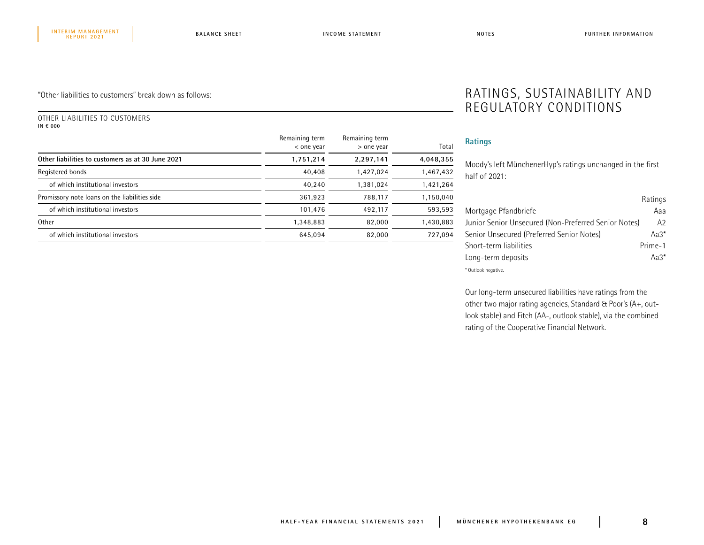## "Other liabilities to customers" break down as follows:

#### OTHER LIABILITIES TO CUSTOMERS **IN € 000**

|                                                   | Remaining term<br>< one year | Remaining term<br>> one year | Total     |  |
|---------------------------------------------------|------------------------------|------------------------------|-----------|--|
| Other liabilities to customers as at 30 June 2021 | 1,751,214                    | 2,297,141                    | 4,048,355 |  |
| Registered bonds                                  | 40,408                       | 1,427,024                    | 1,467,432 |  |
| of which institutional investors                  | 40.240                       | 1,381,024                    | 1,421,264 |  |
| Promissory note loans on the liabilities side     | 361,923                      | 788,117                      | 1,150,040 |  |
| of which institutional investors                  | 101,476                      | 492.117                      | 593,593   |  |
| Other                                             | 1,348,883                    | 82.000                       | 1,430,883 |  |
| of which institutional investors                  | 645.094                      | 82.000                       | 727,094   |  |

## RATINGS, SUSTAINABILITY AND REGULATORY CONDITIONS

## **Ratings**

Moody's left MünchenerHyp's ratings unchanged in the first half of 2021:

|                                                      | Ratings        |
|------------------------------------------------------|----------------|
| Mortgage Pfandbriefe                                 | Ааа            |
| Junior Senior Unsecured (Non-Preferred Senior Notes) | A <sub>2</sub> |
| Senior Unsecured (Preferred Senior Notes)            | Aa $3^*$       |
| Short-term liabilities                               | Prime-1        |
| Long-term deposits                                   | $Aa3*$         |
| * Outlook negative.                                  |                |

Our long-term unsecured liabilities have ratings from the other two major rating agencies, Standard & Poor's (A+, outlook stable) and Fitch (AA-, outlook stable), via the combined rating of the Cooperative Financial Network.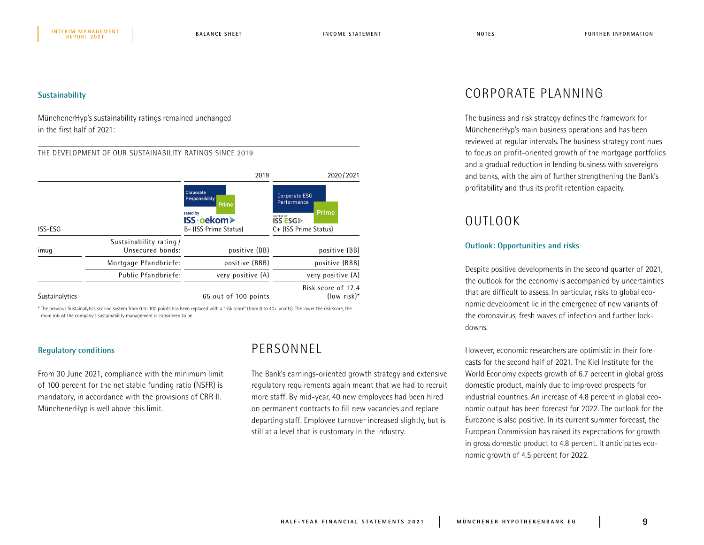### **Sustainability**

MünchenerHyp's sustainability ratings remained unchanged in the first half of 2021:

#### THE DEVELOPMENT OF OUR SUSTAINABILITY RATINGS SINCE 2019

|                |                                            | 2019                                                                                                         | 2020/2021<br>Corporate ESG<br>Performance<br>Prime<br><b>RATED BY</b><br><b>ISS ESG</b><br>C+ (ISS Prime Status) |  |
|----------------|--------------------------------------------|--------------------------------------------------------------------------------------------------------------|------------------------------------------------------------------------------------------------------------------|--|
| ISS-ESG        |                                            | Corporate<br><b>Responsibility</b><br><b>Prime</b><br>rated by<br><b>ISS-oekom≻</b><br>B- (ISS Prime Status) |                                                                                                                  |  |
| imuq           | Sustainability rating/<br>Unsecured bonds: | positive (BB)                                                                                                | positive (BB)                                                                                                    |  |
|                | Mortgage Pfandbriefe:                      | positive (BBB)                                                                                               | positive (BBB)                                                                                                   |  |
|                | Public Pfandbriefe:                        | very positive (A)                                                                                            | very positive (A)                                                                                                |  |
| Sustainalytics |                                            | 65 out of 100 points                                                                                         | Risk score of 17.4<br>$[{} ow risk]*$                                                                            |  |

\* The previous Sustainalytics scoring system from 0 to 100 points has been replaced with a "risk score" (from 0 to 40+ points). The lower the risk score, the more robust the company's sustainability management is considered to be.

### **Regulatory conditions**

From 30 June 2021, compliance with the minimum limit of 100 percent for the net stable funding ratio (NSFR) is mandatory, in accordance with the provisions of CRR II. MünchenerHyp is well above this limit.

## PERSONNEL

The Bank's earnings-oriented growth strategy and extensive regulatory requirements again meant that we had to recruit more staff. By mid-year, 40 new employees had been hired on permanent contracts to fill new vacancies and replace departing staff. Employee turnover increased slightly, but is still at a level that is customary in the industry.

## CORPORATE PLANNING

The business and risk strategy defines the framework for MünchenerHyp's main business operations and has been reviewed at regular intervals. The business strategy continues to focus on profit-oriented growth of the mortgage portfolios and a gradual reduction in lending business with sovereigns and banks, with the aim of further strengthening the Bank's profitability and thus its profit retention capacity.

## OUTLOOK

## **Outlook: Opportunities and risks**

Despite positive developments in the second quarter of 2021, the outlook for the economy is accompanied by uncertainties that are difficult to assess. In particular, risks to global economic development lie in the emergence of new variants of the coronavirus, fresh waves of infection and further lockdowns.

However, economic researchers are optimistic in their forecasts for the second half of 2021. The Kiel Institute for the World Economy expects growth of 6.7 percent in global gross domestic product, mainly due to improved prospects for industrial countries. An increase of 4.8 percent in global economic output has been forecast for 2022. The outlook for the Eurozone is also positive. In its current summer forecast, the European Commission has raised its expectations for growth in gross domestic product to 4.8 percent. It anticipates economic growth of 4.5 percent for 2022.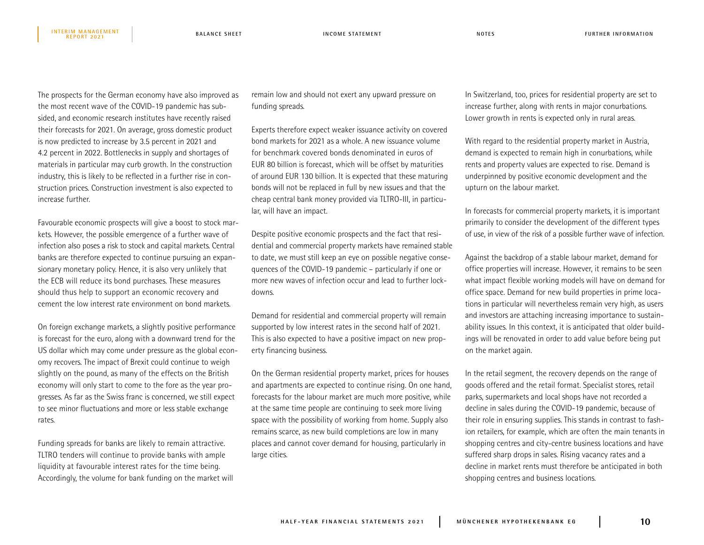The prospects for the German economy have also improved as the most recent wave of the COVID-19 pandemic has subsided, and economic research institutes have recently raised their forecasts for 2021. On average, gross domestic product is now predicted to increase by 3.5 percent in 2021 and 4.2 percent in 2022. Bottlenecks in supply and shortages of materials in particular may curb growth. In the construction industry, this is likely to be reflected in a further rise in construction prices. Construction investment is also expected to increase further.

Favourable economic prospects will give a boost to stock markets. However, the possible emergence of a further wave of infection also poses a risk to stock and capital markets. Central banks are therefore expected to continue pursuing an expansionary monetary policy. Hence, it is also very unlikely that the ECB will reduce its bond purchases. These measures should thus help to support an economic recovery and cement the low interest rate environment on bond markets.

On foreign exchange markets, a slightly positive performance is forecast for the euro, along with a downward trend for the US dollar which may come under pressure as the global economy recovers. The impact of Brexit could continue to weigh slightly on the pound, as many of the effects on the British economy will only start to come to the fore as the year progresses. As far as the Swiss franc is concerned, we still expect to see minor fluctuations and more or less stable exchange rates.

Funding spreads for banks are likely to remain attractive. TLTRO tenders will continue to provide banks with ample liquidity at favourable interest rates for the time being. Accordingly, the volume for bank funding on the market will remain low and should not exert any upward pressure on funding spreads.

Experts therefore expect weaker issuance activity on covered bond markets for 2021 as a whole. A new issuance volume for benchmark covered bonds denominated in euros of EUR 80 billion is forecast, which will be offset by maturities of around EUR 130 billion. It is expected that these maturing bonds will not be replaced in full by new issues and that the cheap central bank money provided via TLTRO-III, in particular, will have an impact.

Despite positive economic prospects and the fact that residential and commercial property markets have remained stable to date, we must still keep an eye on possible negative consequences of the COVID-19 pandemic – particularly if one or more new waves of infection occur and lead to further lockdowns.

Demand for residential and commercial property will remain supported by low interest rates in the second half of 2021. This is also expected to have a positive impact on new property financing business.

On the German residential property market, prices for houses and apartments are expected to continue rising. On one hand, forecasts for the labour market are much more positive, while at the same time people are continuing to seek more living space with the possibility of working from home. Supply also remains scarce, as new build completions are low in many places and cannot cover demand for housing, particularly in large cities.

In Switzerland, too, prices for residential property are set to increase further, along with rents in major conurbations. Lower growth in rents is expected only in rural areas.

With regard to the residential property market in Austria, demand is expected to remain high in conurbations, while rents and property values are expected to rise. Demand is underpinned by positive economic development and the upturn on the labour market.

In forecasts for commercial property markets, it is important primarily to consider the development of the different types of use, in view of the risk of a possible further wave of infection.

Against the backdrop of a stable labour market, demand for office properties will increase. However, it remains to be seen what impact flexible working models will have on demand for office space. Demand for new build properties in prime locations in particular will nevertheless remain very high, as users and investors are attaching increasing importance to sustainability issues. In this context, it is anticipated that older buildings will be renovated in order to add value before being put on the market again.

In the retail segment, the recovery depends on the range of goods offered and the retail format. Specialist stores, retail parks, supermarkets and local shops have not recorded a decline in sales during the COVID-19 pandemic, because of their role in ensuring supplies. This stands in contrast to fashion retailers, for example, which are often the main tenants in shopping centres and city-centre business locations and have suffered sharp drops in sales. Rising vacancy rates and a decline in market rents must therefore be anticipated in both shopping centres and business locations.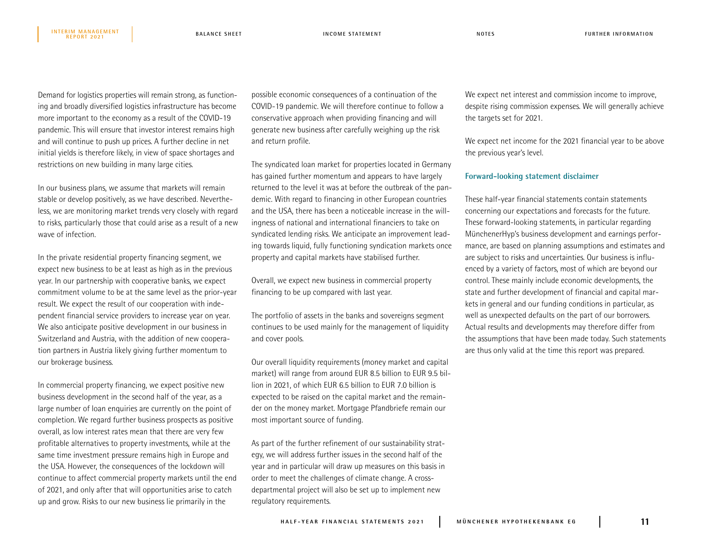Demand for logistics properties will remain strong, as functioning and broadly diversified logistics infrastructure has become more important to the economy as a result of the COVID-19 pandemic. This will ensure that investor interest remains high and will continue to push up prices. A further decline in net initial yields is therefore likely, in view of space shortages and restrictions on new building in many large cities.

**REPORT 2021**

In our business plans, we assume that markets will remain stable or develop positively, as we have described. Nevertheless, we are monitoring market trends very closely with regard to risks, particularly those that could arise as a result of a new wave of infection.

In the private residential property financing segment, we expect new business to be at least as high as in the previous year. In our partnership with cooperative banks, we expect commitment volume to be at the same level as the prior-year result. We expect the result of our cooperation with independent financial service providers to increase year on year. We also anticipate positive development in our business in Switzerland and Austria, with the addition of new cooperation partners in Austria likely giving further momentum to our brokerage business.

In commercial property financing, we expect positive new business development in the second half of the year, as a large number of loan enquiries are currently on the point of completion. We regard further business prospects as positive overall, as low interest rates mean that there are very few profitable alternatives to property investments, while at the same time investment pressure remains high in Europe and the USA. However, the consequences of the lockdown will continue to affect commercial property markets until the end of 2021, and only after that will opportunities arise to catch up and grow. Risks to our new business lie primarily in the

possible economic consequences of a continuation of the COVID-19 pandemic. We will therefore continue to follow a conservative approach when providing financing and will generate new business after carefully weighing up the risk and return profile.

The syndicated loan market for properties located in Germany has gained further momentum and appears to have largely returned to the level it was at before the outbreak of the pandemic. With regard to financing in other European countries and the USA, there has been a noticeable increase in the willingness of national and international financiers to take on syndicated lending risks. We anticipate an improvement leading towards liquid, fully functioning syndication markets once property and capital markets have stabilised further.

Overall, we expect new business in commercial property financing to be up compared with last year.

The portfolio of assets in the banks and sovereigns segment continues to be used mainly for the management of liquidity and cover pools.

Our overall liquidity requirements (money market and capital market) will range from around EUR 8.5 billion to EUR 9.5 billion in 2021, of which EUR 6.5 billion to EUR 7.0 billion is expected to be raised on the capital market and the remainder on the money market. Mortgage Pfandbriefe remain our most important source of funding.

As part of the further refinement of our sustainability strategy, we will address further issues in the second half of the year and in particular will draw up measures on this basis in order to meet the challenges of climate change. A crossdepartmental project will also be set up to implement new regulatory requirements.

We expect net interest and commission income to improve, despite rising commission expenses. We will generally achieve the targets set for 2021.

We expect net income for the 2021 financial year to be above the previous year's level.

### **Forward-looking statement disclaimer**

These half-year financial statements contain statements concerning our expectations and forecasts for the future. These forward-looking statements, in particular regarding MünchenerHyp's business development and earnings performance, are based on planning assumptions and estimates and are subject to risks and uncertainties. Our business is influenced by a variety of factors, most of which are beyond our control. These mainly include economic developments, the state and further development of financial and capital markets in general and our funding conditions in particular, as well as unexpected defaults on the part of our borrowers. Actual results and developments may therefore differ from the assumptions that have been made today. Such statements are thus only valid at the time this report was prepared.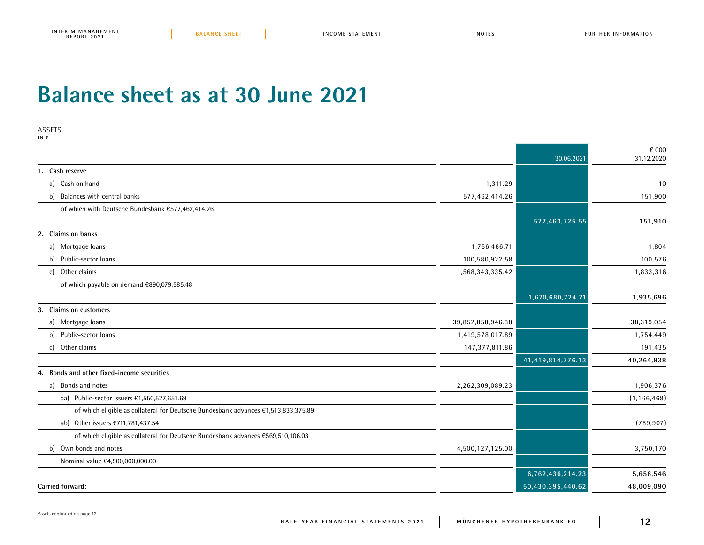## **Balance sheet as at 30 June 2021**

| ASSETS<br>IN $\epsilon$                                                            |                   |                   |                     |
|------------------------------------------------------------------------------------|-------------------|-------------------|---------------------|
|                                                                                    |                   | 30.06.2021        | € 000<br>31.12.2020 |
| 1. Cash reserve                                                                    |                   |                   |                     |
| a) Cash on hand                                                                    | 1,311.29          |                   | 10                  |
| b) Balances with central banks                                                     | 577,462,414.26    |                   | 151,900             |
| of which with Deutsche Bundesbank €577,462,414.26                                  |                   |                   |                     |
|                                                                                    |                   | 577,463,725.55    | 151,910             |
| 2. Claims on banks                                                                 |                   |                   |                     |
| a) Mortgage loans                                                                  | 1,756,466.71      |                   | 1,804               |
| b) Public-sector loans                                                             | 100,580,922.58    |                   | 100,576             |
| c) Other claims                                                                    | 1,568,343,335.42  |                   | 1,833,316           |
| of which payable on demand €890,079,585.48                                         |                   |                   |                     |
|                                                                                    |                   | 1,670,680,724.71  | 1,935,696           |
| Claims on customers<br>3.                                                          |                   |                   |                     |
| a) Mortgage loans                                                                  | 39,852,858,946.38 |                   | 38,319,054          |
| b) Public-sector loans                                                             | 1,419,578,017.89  |                   | 1,754,449           |
| c) Other claims                                                                    | 147,377,811.86    |                   | 191,435             |
|                                                                                    |                   | 41,419,814,776.13 | 40,264,938          |
| Bonds and other fixed-income securities<br>4.                                      |                   |                   |                     |
| a) Bonds and notes                                                                 | 2,262,309,089.23  |                   | 1,906,376           |
| aa) Public-sector issuers €1,550,527,651.69                                        |                   |                   | (1, 166, 468)       |
| of which eligible as collateral for Deutsche Bundesbank advances €1,513,833,375.89 |                   |                   |                     |
| ab) Other issuers €711,781,437.54                                                  |                   |                   | (789, 907)          |
| of which eligible as collateral for Deutsche Bundesbank advances €569,510,106.03   |                   |                   |                     |
| b) Own bonds and notes                                                             | 4,500,127,125.00  |                   | 3,750,170           |
| Nominal value €4,500,000,000.00                                                    |                   |                   |                     |
|                                                                                    |                   | 6,762,436,214.23  | 5,656,546           |
| Carried forward:                                                                   |                   | 50,430,395,440.62 | 48,009,090          |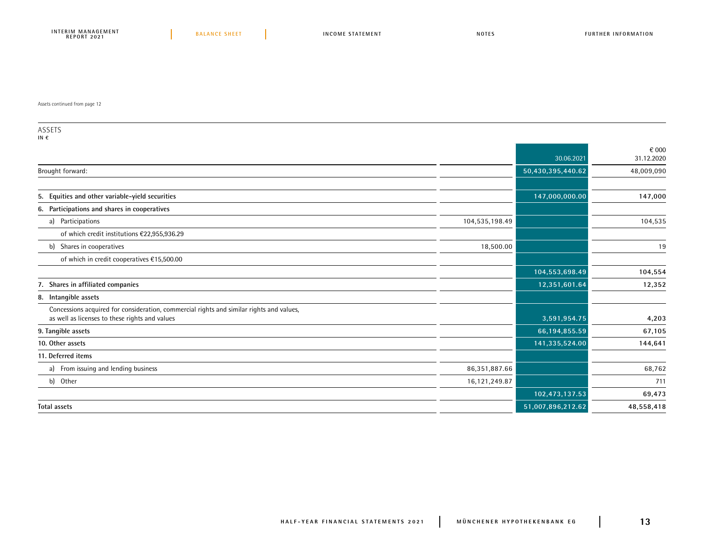Assets continued from page 12

ASSETS

|                | 30.06.2021        | € 000<br>31.12.2020 |
|----------------|-------------------|---------------------|
|                | 50,430,395,440.62 | 48,009,090          |
|                |                   |                     |
|                | 147,000,000.00    | 147,000             |
|                |                   |                     |
| 104,535,198.49 |                   | 104,535             |
|                |                   |                     |
| 18,500.00      |                   | 19                  |
|                |                   |                     |
|                | 104,553,698.49    | 104,554             |
|                | 12,351,601.64     | 12,352              |
|                |                   |                     |
|                | 3,591,954.75      | 4,203               |
|                | 66,194,855.59     | 67,105              |
|                | 141,335,524.00    | 144,641             |
|                |                   |                     |
| 86,351,887.66  |                   | 68,762              |
| 16,121,249.87  |                   | 711                 |
|                | 102,473,137.53    | 69,473              |
|                | 51,007,896,212.62 | 48,558,418          |
|                |                   |                     |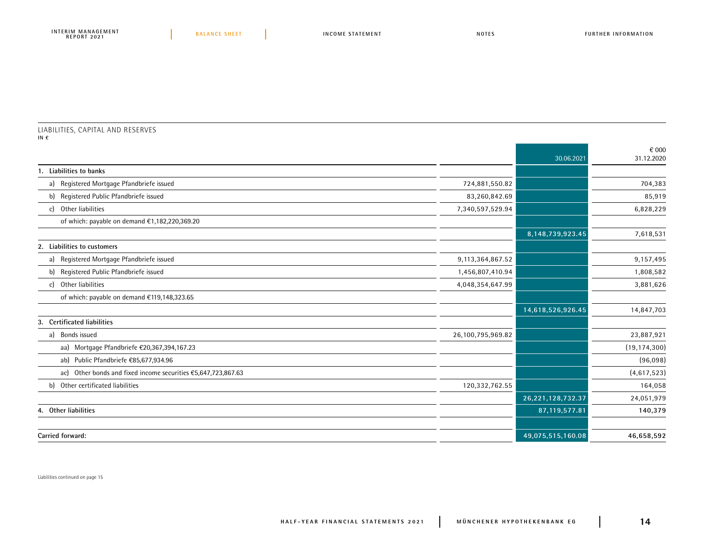#### LIABILITIES, CAPITAL AND RESERVES **IN €**

|                                                                  |                   | 30.06.2021        | € 000<br>31.12.2020 |
|------------------------------------------------------------------|-------------------|-------------------|---------------------|
| Liabilities to banks                                             |                   |                   |                     |
| a) Registered Mortgage Pfandbriefe issued                        | 724,881,550.82    |                   | 704,383             |
| b) Registered Public Pfandbriefe issued                          | 83,260,842.69     |                   | 85,919              |
| Other liabilities<br><sub>c</sub>                                | 7,340,597,529.94  |                   | 6,828,229           |
| of which: payable on demand €1,182,220,369.20                    |                   |                   |                     |
|                                                                  |                   | 8,148,739,923.45  | 7,618,531           |
| 2. Liabilities to customers                                      |                   |                   |                     |
| a) Registered Mortgage Pfandbriefe issued                        | 9,113,364,867.52  |                   | 9,157,495           |
| Registered Public Pfandbriefe issued<br>b)                       | 1,456,807,410.94  |                   | 1,808,582           |
| Other liabilities<br>$\mathcal{C}$                               | 4,048,354,647.99  |                   | 3,881,626           |
| of which: payable on demand €119,148,323.65                      |                   |                   |                     |
|                                                                  |                   | 14,618,526,926.45 | 14,847,703          |
| 3. Certificated liabilities                                      |                   |                   |                     |
| a) Bonds issued                                                  | 26,100,795,969.82 |                   | 23,887,921          |
| aa) Mortgage Pfandbriefe €20,367,394,167.23                      |                   |                   | (19, 174, 300)      |
| ab) Public Pfandbriefe €85,677,934.96                            |                   |                   | (96,098)            |
| Other bonds and fixed income securities €5,647,723,867.63<br>ac) |                   |                   | (4,617,523)         |
| Other certificated liabilities<br>b)                             | 120,332,762.55    |                   | 164,058             |
|                                                                  |                   | 26,221,128,732.37 | 24,051,979          |
| 4. Other liabilities                                             |                   | 87,119,577.81     | 140,379             |
|                                                                  |                   |                   |                     |
| Carried forward:                                                 |                   | 49,075,515,160.08 | 46,658,592          |

Liabilities continued on page 15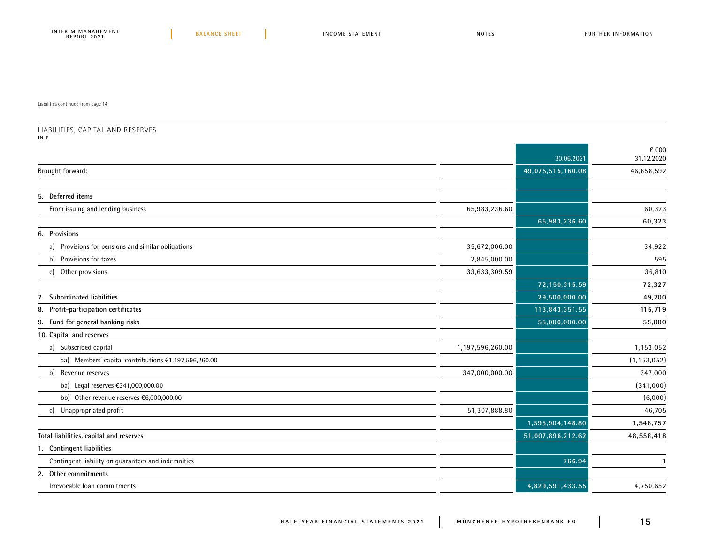Liabilities continued from page 14

#### LIABILITIES, CAPITAL AND RESERVES **IN €**

|                                                      |                  | 30.06.2021        | € 000<br>31.12.2020 |
|------------------------------------------------------|------------------|-------------------|---------------------|
| Brought forward:                                     |                  | 49,075,515,160.08 | 46,658,592          |
|                                                      |                  |                   |                     |
| 5. Deferred items                                    |                  |                   |                     |
| From issuing and lending business                    | 65,983,236.60    |                   | 60,323              |
|                                                      |                  | 65,983,236.60     | 60,323              |
| 6. Provisions                                        |                  |                   |                     |
| a) Provisions for pensions and similar obligations   | 35,672,006.00    |                   | 34,922              |
| b) Provisions for taxes                              | 2,845,000.00     |                   | 595                 |
| c) Other provisions                                  | 33,633,309.59    |                   | 36,810              |
|                                                      |                  | 72,150,315.59     | 72,327              |
| 7. Subordinated liabilities                          |                  | 29,500,000.00     | 49,700              |
| 8. Profit-participation certificates                 |                  | 113,843,351.55    | 115,719             |
| 9. Fund for general banking risks                    |                  | 55,000,000.00     | 55,000              |
| 10. Capital and reserves                             |                  |                   |                     |
| a) Subscribed capital                                | 1,197,596,260.00 |                   | 1,153,052           |
| aa) Members' capital contributions €1,197,596,260.00 |                  |                   | (1, 153, 052)       |
| b) Revenue reserves                                  | 347,000,000.00   |                   | 347,000             |
| ba) Legal reserves €341,000,000.00                   |                  |                   | (341,000)           |
| bb) Other revenue reserves €6,000,000.00             |                  |                   | (6,000)             |
| c) Unappropriated profit                             | 51,307,888.80    |                   | 46,705              |
|                                                      |                  | 1,595,904,148.80  | 1,546,757           |
| Total liabilities, capital and reserves              |                  | 51,007,896,212.62 | 48,558,418          |
| 1. Contingent liabilities                            |                  |                   |                     |
| Contingent liability on quarantees and indemnities   |                  | 766.94            |                     |
| 2. Other commitments                                 |                  |                   |                     |
| Irrevocable loan commitments                         |                  | 4,829,591,433.55  | 4,750,652           |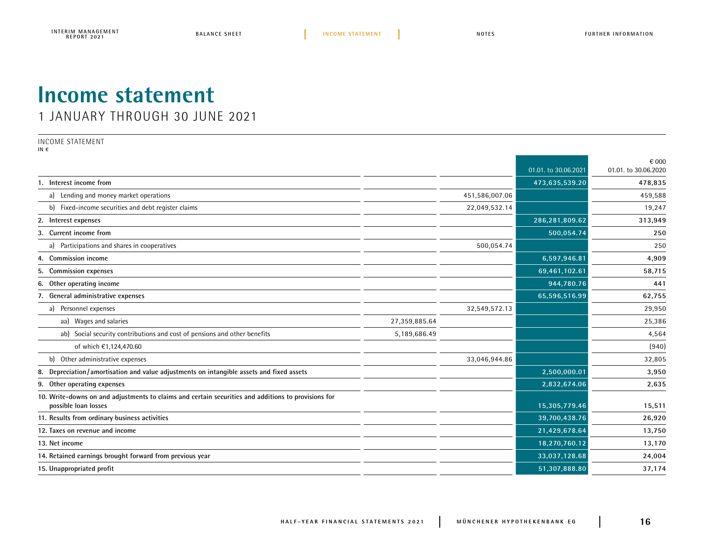## **Income statement**

1 JANUARY THROUGH 30 JUNE 2021

INCOME STATEMENT

**IN €**

|                                                                                                                             |               |                |                      | € 000                |
|-----------------------------------------------------------------------------------------------------------------------------|---------------|----------------|----------------------|----------------------|
|                                                                                                                             |               |                | 01.01. to 30.06.2021 | 01.01. to 30.06.2020 |
| 1. Interest income from                                                                                                     |               |                | 473,635,539.20       | 478,835              |
| a) Lending and money market operations                                                                                      |               | 451,586,007.06 |                      | 459,588              |
| b) Fixed-income securities and debt register claims                                                                         |               | 22,049,532.14  |                      | 19,247               |
| 2. Interest expenses                                                                                                        |               |                | 286,281,809.62       | 313,949              |
| 3. Current income from                                                                                                      |               |                | 500,054.74           | 250                  |
| Participations and shares in cooperatives<br>a)                                                                             |               | 500,054.74     |                      | 250                  |
| 4. Commission income                                                                                                        |               |                | 6,597,946.81         | 4,909                |
| <b>Commission expenses</b>                                                                                                  |               |                | 69,461,102.61        | 58,715               |
| Other operating income<br>6.                                                                                                |               |                | 944,780.76           | 441                  |
| 7. General administrative expenses                                                                                          |               |                | 65,596,516.99        | 62,755               |
| Personnel expenses<br>a)                                                                                                    |               | 32,549,572.13  |                      | 29,950               |
| aa) Wages and salaries                                                                                                      | 27,359,885.64 |                |                      | 25,386               |
| ab) Social security contributions and cost of pensions and other benefits                                                   | 5,189,686.49  |                |                      | 4,564                |
| of which €1,124,470.60                                                                                                      |               |                |                      | (940)                |
| b) Other administrative expenses                                                                                            |               | 33,046,944.86  |                      | 32,805               |
| Depreciation/amortisation and value adjustments on intangible assets and fixed assets<br>8.                                 |               |                | 2,500,000.01         | 3,950                |
| 9. Other operating expenses                                                                                                 |               |                | 2,832,674.06         | 2,635                |
| 10. Write-downs on and adjustments to claims and certain securities and additions to provisions for<br>possible loan losses |               |                | 15,305,779.46        | 15,511               |
| 11. Results from ordinary business activities                                                                               |               |                | 39,700,438.76        | 26,920               |
| 12. Taxes on revenue and income                                                                                             |               |                | 21,429,678.64        | 13,750               |
| 13. Net income                                                                                                              |               |                | 18,270,760.12        | 13,170               |
| 14. Retained earnings brought forward from previous year                                                                    |               |                | 33,037,128.68        | 24,004               |
| 15. Unappropriated profit                                                                                                   |               |                | 51,307,888.80        | 37,174               |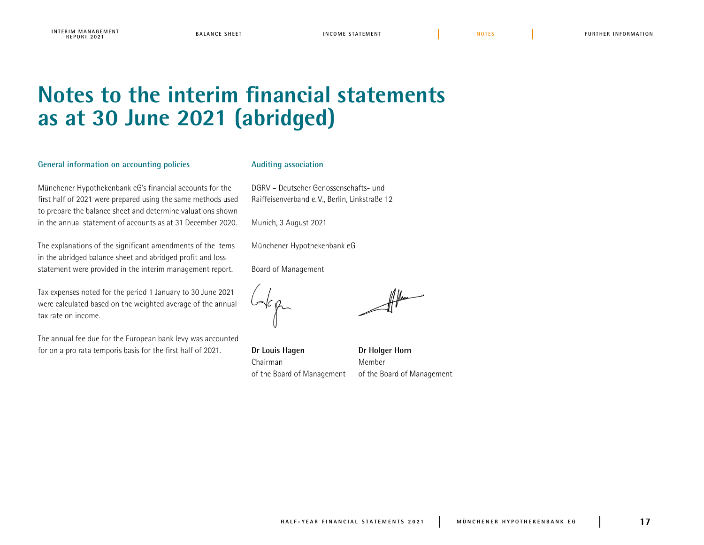## **Notes to the interim financial statements as at 30 June 2021 (abridged)**

### **General information on accounting policies**

Münchener Hypothekenbank eG's financial accounts for the first half of 2021 were prepared using the same methods used to prepare the balance sheet and determine valuations shown in the annual statement of accounts as at 31 December 2020.

The explanations of the significant amendments of the items in the abridged balance sheet and abridged profit and loss statement were provided in the interim management report.

Tax expenses noted for the period 1 January to 30 June 2021 were calculated based on the weighted average of the annual tax rate on income.

The annual fee due for the European bank levy was accounted for on a pro rata temporis basis for the first half of 2021.

### **Auditing association**

DGRV – Deutscher Genossenschafts- und Raiffeisenverband e. V., Berlin, Linkstraße 12

Munich, 3 August 2021

Münchener Hypothekenbank eG

Board of Management

**Dr Louis Hagen Dr Holger Horn** Chairman Member of the Board of Management of the Board of Management

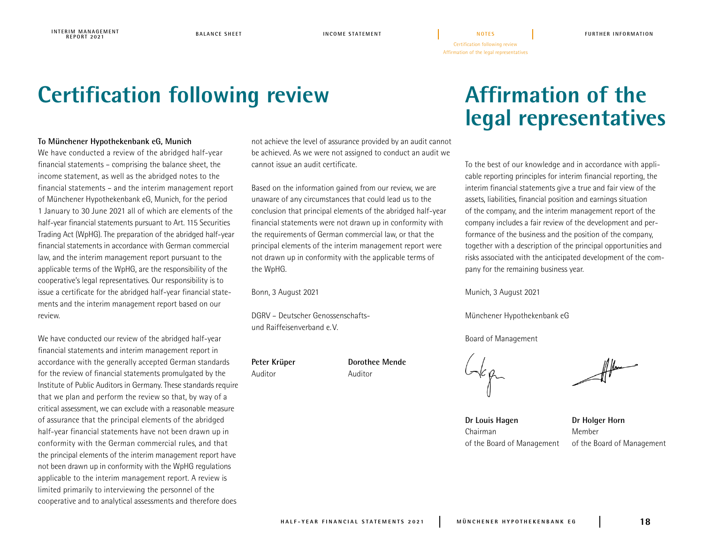## **Certification following review**

## **To Münchener Hypothekenbank eG, Munich**

We have conducted a review of the abridged half-year financial statements – comprising the balance sheet, the income statement, as well as the abridged notes to the financial statements – and the interim management report of Münchener Hypothekenbank eG, Munich, for the period 1 January to 30 June 2021 all of which are elements of the half-year financial statements pursuant to Art. 115 Securities Trading Act (WpHG). The preparation of the abridged half-year financial statements in accordance with German commercial law, and the interim management report pursuant to the applicable terms of the WpHG, are the responsibility of the cooperative's legal representatives. Our responsibility is to issue a certificate for the abridged half-year financial statements and the interim management report based on our review.

We have conducted our review of the abridged half-year financial statements and interim management report in accordance with the generally accepted German standards for the review of financial statements promulgated by the Institute of Public Auditors in Germany. These standards require that we plan and perform the review so that, by way of a critical assessment, we can exclude with a reasonable measure of assurance that the principal elements of the abridged half-year financial statements have not been drawn up in conformity with the German commercial rules, and that the principal elements of the interim management report have not been drawn up in conformity with the WpHG regulations applicable to the interim management report. A review is limited primarily to interviewing the personnel of the cooperative and to analytical assessments and therefore does

not achieve the level of assurance provided by an audit cannot be achieved. As we were not assigned to conduct an audit we cannot issue an audit certificate.

Based on the information gained from our review, we are unaware of any circumstances that could lead us to the conclusion that principal elements of the abridged half-year financial statements were not drawn up in conformity with the requirements of German commercial law, or that the principal elements of the interim management report were not drawn up in conformity with the applicable terms of the WpHG.

Bonn, 3 August 2021

DGRV – Deutscher Genossenschaftsund Raiffeisenverband e.V.

Auditor Auditor

Peter Krüper **Dorothee Mende** 

## **Affirmation of the legal representatives**

To the best of our knowledge and in accordance with applicable reporting principles for interim financial reporting, the interim financial statements give a true and fair view of the assets, liabilities, financial position and earnings situation of the company, and the interim management report of the company includes a fair review of the development and performance of the business and the position of the company, together with a description of the principal opportunities and risks associated with the anticipated development of the company for the remaining business year.

Munich, 3 August 2021

Certification following review Affirmation of the legal representatives

**NOTES**

Münchener Hypothekenbank eG

Board of Management

**Dr Louis Hagen Dr Holger Horn** Chairman Member

of the Board of Management of the Board of Management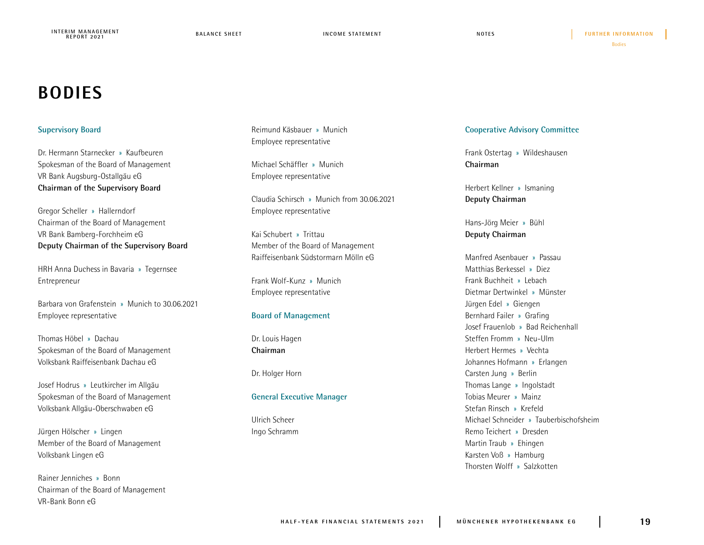## **BODIES**

## **Supervisory Board**

Dr. Hermann Starnecker » Kaufbeuren Spokesman of the Board of Management VR Bank Augsburg-Ostallgäu eG **Chairman of the Supervisory Board** 

Gregor Scheller » Hallerndorf Chairman of the Board of Management VR Bank Bamberg-Forchheim eG **Deputy Chairman of the Supervisory Board** 

HRH Anna Duchess in Bavaria » Tegernsee Entrepreneur

Barbara von Grafenstein » Munich to 30.06.2021 Employee representative

Thomas Höbel » Dachau Spokesman of the Board of Management Volksbank Raiffeisenbank Dachau eG

Josef Hodrus » Leutkircher im Allgäu Spokesman of the Board of Management Volksbank Allgäu-Oberschwaben eG

Jürgen Hölscher » Lingen Member of the Board of Management Volksbank Lingen eG

Rainer Jenniches » Bonn Chairman of the Board of Management VR-Bank Bonn eG

Reimund Käsbauer » Munich Employee representative

Michael Schäffler » Munich Employee representative

Claudia Schirsch » Munich from 30.06.2021 Employee representative

Kai Schubert » Trittau Member of the Board of Management Raiffeisenbank Südstormarn Mölln eG

Frank Wolf-Kunz » Munich Employee representative

## **Board of Management**

Dr. Louis Hagen **Chairman**

Dr. Holger Horn

## **General Executive Manager**

Ulrich Scheer Ingo Schramm

## **Cooperative Advisory Committee**

Frank Ostertag » Wildeshausen **Chairman**

Herbert Kellner » Ismaning **Deputy Chairman**

Hans-Jörg Meier » Bühl **Deputy Chairman**

Manfred Asenbauer » Passau Matthias Berkessel » Diez Frank Buchheit » Lebach Dietmar Dertwinkel » Münster Jürgen Edel » Giengen Bernhard Failer » Grafing Josef Frauenlob » Bad Reichenhall Steffen Fromm » Neu-Ulm Herbert Hermes » Vechta Johannes Hofmann » Erlangen Carsten Jung » Berlin Thomas Lange » Ingolstadt Tobias Meurer » Mainz Stefan Rinsch » Krefeld Michael Schneider » Tauberbischofsheim Remo Teichert » Dresden Martin Traub » Ehingen Karsten Voß » Hamburg Thorsten Wolff » Salzkotten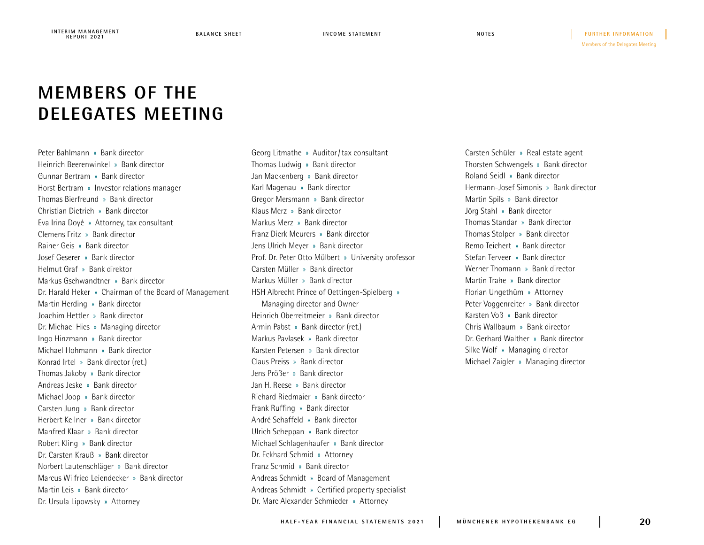Members of the Delegates Meeting **NOTES FURTHER INFORMATION**

## **MEMBERS OF THE DELEGATES MEETING**

Peter Bahlmann » Bank director Heinrich Beerenwinkel » Bank director Gunnar Bertram » Bank director Horst Bertram » Investor relations manager Thomas Bierfreund » Bank director Christian Dietrich » Bank director Eva Irina Doyé » Attorney, tax consultant Clemens Fritz » Bank director Rainer Geis » Bank director Josef Geserer » Bank director Helmut Graf » Bank direktor Markus Gschwandtner » Bank director Dr. Harald Heker » Chairman of the Board of Management Martin Herding » Bank director Joachim Hettler » Bank director Dr. Michael Hies » Managing director Ingo Hinzmann » Bank director Michael Hohmann » Bank director Konrad Irtel » Bank director (ret.) Thomas Jakoby » Bank director Andreas Jeske » Bank director Michael Joop » Bank director Carsten Jung » Bank director Herbert Kellner » Bank director Manfred Klaar » Bank director Robert Kling » Bank director Dr. Carsten Krauß » Bank director Norbert Lautenschläger » Bank director Marcus Wilfried Leiendecker » Bank director Martin Leis » Bank director Dr. Ursula Lipowsky » Attorney

Georg Litmathe » Auditor/tax consultant Thomas Ludwig » Bank director Jan Mackenberg » Bank director Karl Magenau » Bank director Gregor Mersmann » Bank director Klaus Merz » Bank director Markus Merz » Bank director Franz Dierk Meurers » Bank director Jens Ulrich Meyer » Bank director Prof. Dr. Peter Otto Mülbert » University professor Carsten Müller » Bank director Markus Müller » Bank director HSH Albrecht Prince of Oettingen-Spielberg » Managing director and Owner Heinrich Oberreitmeier » Bank director Armin Pabst » Bank director (ret.) Markus Pavlasek » Bank director Karsten Petersen » Bank director Claus Preiss » Bank director Jens Prößer » Bank director Jan H. Reese » Bank director Richard Riedmaier » Bank director Frank Ruffing » Bank director André Schaffeld » Bank director Ulrich Scheppan » Bank director Michael Schlagenhaufer » Bank director Dr. Eckhard Schmid » Attorney Franz Schmid » Bank director Andreas Schmidt » Board of Management Andreas Schmidt » Certified property specialist Dr. Marc Alexander Schmieder » Attorney

Carsten Schüler » Real estate agent Thorsten Schwengels » Bank director Roland Seidl » Bank director Hermann-Josef Simonis » Bank director Martin Spils » Bank director Jörg Stahl » Bank director Thomas Standar » Bank director Thomas Stolper » Bank director Remo Teichert » Bank director Stefan Terveer » Bank director Werner Thomann » Bank director Martin Trahe » Bank director Florian Ungethüm » Attorney Peter Voggenreiter » Bank director Karsten Voß » Bank director Chris Wallbaum » Bank director Dr. Gerhard Walther » Bank director Silke Wolf » Managing director Michael Zaigler » Managing director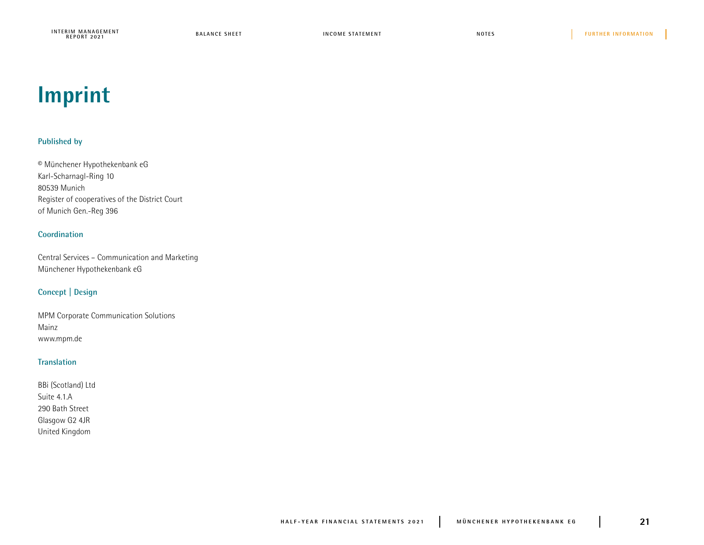**BALANCE SHEET INTERIM MANAGEMENT**<br>REPORT 2021 **INCOME STATEMENT** where the state of the state of the state of the state of the state of the state of the state of the state of the state of the state of the state of the state of the state of the state of the state of the state of the stat

## **Imprint**

## **Published by**

© Münchener Hypothekenbank eG Karl-Scharnagl-Ring 10 80539 Munich Register of cooperatives of the District Court of Munich Gen.-Reg 396

## **Coordination**

Central Services – Communication and Marketing Münchener Hypothekenbank eG

## **Concept | Design**

MPM Corporate Communication Solutions Mainz www.mpm.de

## **Translation**

| BBi (Scotland) Ltd |
|--------------------|
| Suite 4.1.A        |
| 290 Bath Street    |
| Glasgow G2 4JR     |
| United Kingdom     |